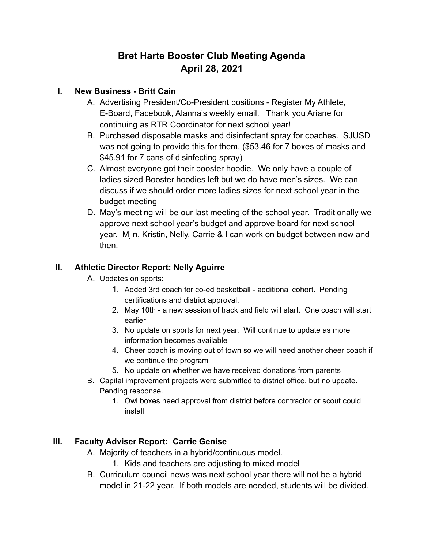# **Bret Harte Booster Club Meeting Agenda April 28, 2021**

## **I. New Business - Britt Cain**

- A. Advertising President/Co-President positions Register My Athlete, E-Board, Facebook, Alanna's weekly email. Thank you Ariane for continuing as RTR Coordinator for next school year!
- B. Purchased disposable masks and disinfectant spray for coaches. SJUSD was not going to provide this for them. (\$53.46 for 7 boxes of masks and \$45.91 for 7 cans of disinfecting spray)
- C. Almost everyone got their booster hoodie. We only have a couple of ladies sized Booster hoodies left but we do have men's sizes. We can discuss if we should order more ladies sizes for next school year in the budget meeting
- D. May's meeting will be our last meeting of the school year. Traditionally we approve next school year's budget and approve board for next school year. Mjin, Kristin, Nelly, Carrie & I can work on budget between now and then.

## **II. Athletic Director Report: Nelly Aguirre**

- A. Updates on sports:
	- 1. Added 3rd coach for co-ed basketball additional cohort. Pending certifications and district approval.
	- 2. May 10th a new session of track and field will start. One coach will start earlier
	- 3. No update on sports for next year. Will continue to update as more information becomes available
	- 4. Cheer coach is moving out of town so we will need another cheer coach if we continue the program
	- 5. No update on whether we have received donations from parents
- B. Capital improvement projects were submitted to district office, but no update. Pending response.
	- 1. Owl boxes need approval from district before contractor or scout could install

## **III. Faculty Adviser Report: Carrie Genise**

- A. Majority of teachers in a hybrid/continuous model.
	- 1. Kids and teachers are adjusting to mixed model
- B. Curriculum council news was next school year there will not be a hybrid model in 21-22 year. If both models are needed, students will be divided.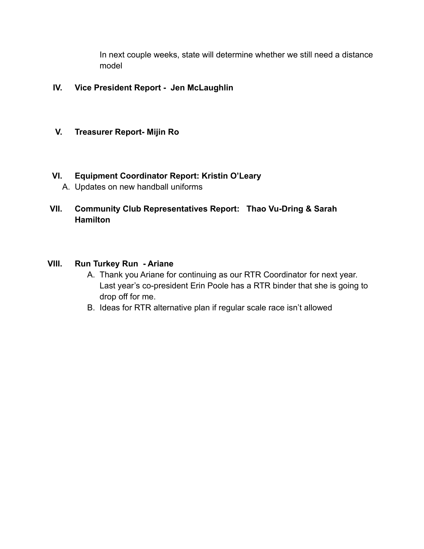In next couple weeks, state will determine whether we still need a distance model

#### **IV. Vice President Report - Jen McLaughlin**

#### **V. Treasurer Report- Mijin Ro**

#### **VI. Equipment Coordinator Report: Kristin O'Leary**

- A. Updates on new handball uniforms
- **VII. Community Club Representatives Report: Thao Vu-Dring & Sarah Hamilton**

## **VIII. Run Turkey Run - Ariane**

- A. Thank you Ariane for continuing as our RTR Coordinator for next year. Last year's co-president Erin Poole has a RTR binder that she is going to drop off for me.
- B. Ideas for RTR alternative plan if regular scale race isn't allowed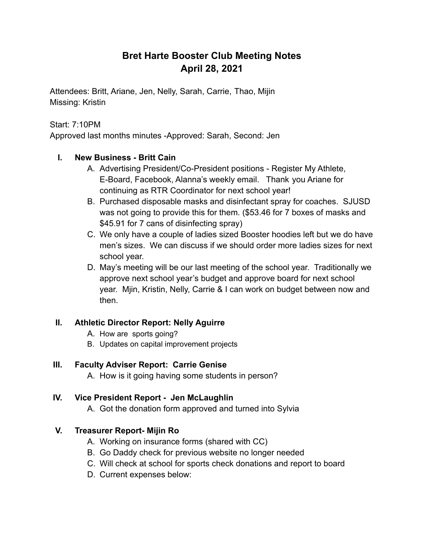## **Bret Harte Booster Club Meeting Notes April 28, 2021**

Attendees: Britt, Ariane, Jen, Nelly, Sarah, Carrie, Thao, Mijin Missing: Kristin

#### Start: 7:10PM

Approved last months minutes -Approved: Sarah, Second: Jen

#### **I. New Business - Britt Cain**

- A. Advertising President/Co-President positions Register My Athlete, E-Board, Facebook, Alanna's weekly email. Thank you Ariane for continuing as RTR Coordinator for next school year!
- B. Purchased disposable masks and disinfectant spray for coaches. SJUSD was not going to provide this for them. (\$53.46 for 7 boxes of masks and \$45.91 for 7 cans of disinfecting spray)
- C. We only have a couple of ladies sized Booster hoodies left but we do have men's sizes. We can discuss if we should order more ladies sizes for next school year.
- D. May's meeting will be our last meeting of the school year. Traditionally we approve next school year's budget and approve board for next school year. Mjin, Kristin, Nelly, Carrie & I can work on budget between now and then.

#### **II. Athletic Director Report: Nelly Aguirre**

- A. How are sports going?
- B. Updates on capital improvement projects

#### **III. Faculty Adviser Report: Carrie Genise**

A. How is it going having some students in person?

## **IV. Vice President Report - Jen McLaughlin**

A. Got the donation form approved and turned into Sylvia

## **V. Treasurer Report- Mijin Ro**

- A. Working on insurance forms (shared with CC)
- B. Go Daddy check for previous website no longer needed
- C. Will check at school for sports check donations and report to board
- D. Current expenses below: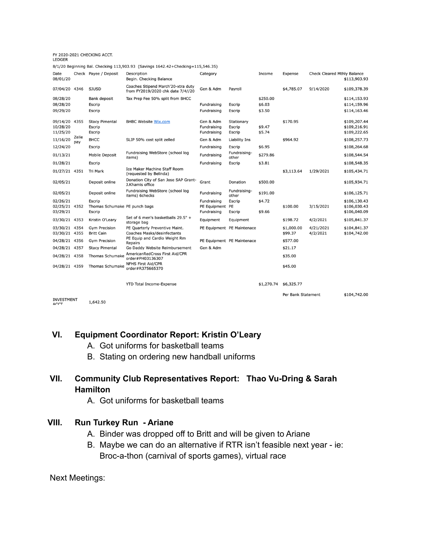#### FY 2020-2021 CHECKING ACCT.<br>LEDGER

|                           |              |                               | 8/1/20 Beginning Bal. Checking 113,903.93 (Savings 1642.42+Checking=115,546.35) |                 |                            |            |                    |                             |              |
|---------------------------|--------------|-------------------------------|---------------------------------------------------------------------------------|-----------------|----------------------------|------------|--------------------|-----------------------------|--------------|
| Date<br>08/01/20          |              | Check Payee / Deposit         | Description<br>Begin. Checking Balance                                          | Category        |                            | Income     | Expense            | Check Cleared Mthly Balance | \$113,903.93 |
| 07/04/20 4346             |              | <b>SJUSD</b>                  | Coaches Stipend March'20-xtra duty<br>from FY2019/2020 chk date 7/4//20         | Gen & Adm       | Payroll                    |            | \$4,785.07         | 9/14/2020                   | \$109,378.39 |
| 08/28/20                  |              | Bank deposit                  | Tax Prep Fee 50% split from BHCC                                                |                 |                            | \$250.00   |                    |                             | \$114,153.93 |
| 08/28/20                  |              | Escrip                        |                                                                                 | Fundraising     | Escrip                     | \$6.03     |                    |                             | \$114,159.96 |
| 09/29/20                  |              | Escrip                        |                                                                                 | Fundraising     | Escrip                     | \$3.50     |                    |                             | \$114,163.46 |
| 09/14/20 4355             |              | <b>Stacy Pimental</b>         | <b>BHBC Website Wix.com</b>                                                     | Gen & Adm       | Stationary                 |            | \$170.95           |                             | \$109,207.44 |
| 10/28/20                  |              | Escrip                        |                                                                                 | Fundraising     | Escrip                     | \$9.47     |                    |                             | \$109,216.91 |
| 11/25/20                  |              | Escrip                        |                                                                                 | Fundraising     | Escrip                     | \$5.74     |                    |                             | \$109,222.65 |
| 11/16/20                  | Zelle<br>pay | <b>BHCC</b>                   | SLIP 50% cost split zelled                                                      | Gen & Adm       | Liability Ins              |            | \$964.92           |                             | \$108,257.73 |
| 12/24/20                  |              | Escrip                        |                                                                                 | Fundraising     | Escrip                     | \$6.95     |                    |                             | \$108,264.68 |
| 01/13/21                  |              | Mobile Deposit                | Fundraising WebStore (school log<br>items)                                      | Fundraising     | Fundraising-<br>other      | \$279.86   |                    |                             | \$108,544.54 |
| 01/28/21                  |              | Escrip                        |                                                                                 | Fundraising     | Escrip                     | \$3.81     |                    |                             | \$108,548.35 |
| 01/27/21 4351             |              | Tri Mark                      | <b>Ice Maker Machine Staff Room</b><br>(requested by Belinda)                   |                 |                            |            | \$3,113.64         | 1/29/2021                   | \$105,434.71 |
| 02/05/21                  |              | Deposit online                | Donation City of San Jose SAP Grant-<br>J.Khamis office                         | Grant           | Donation                   | \$500.00   |                    |                             | \$105,934.71 |
| 02/05/21                  |              | Deposit online                | Fundraising WebStore (school log<br>items) 6checks                              | Fundraising     | Fundraising-<br>other      | \$191.00   |                    |                             | \$106,125.71 |
| 02/26/21                  |              | Escrip                        |                                                                                 | Fundraising     | Escrip                     | \$4.72     |                    |                             | \$106,130.43 |
| 02/25/21 4352             |              | Thomas Schumake PE punch bags |                                                                                 | PE Equipment PE |                            |            | \$100.00           | 3/15/2021                   | \$106,030.43 |
| 03/29/21                  |              | Escrip                        |                                                                                 | Fundraising     | Escrip                     | \$9.66     |                    |                             | \$106,040.09 |
| 03/30/21 4353             |              | Kristin O'Leary               | Set of 6 men's basketballs 29.5" +<br>storage bag                               | Equipment       | Equipment                  |            | \$198.72           | 4/2/2021                    | \$105,841.37 |
| 03/30/21 4354             |              | <b>Gym Precision</b>          | PE Quarterly Preventive Maint.                                                  |                 | PE Equipment PE Maintenace |            | \$1,000.00         | 4/21/2021                   | \$104,841.37 |
| 03/30/21 4355             |              | <b>Britt Cain</b>             | <b>Coaches Masks/desinfectants</b>                                              |                 |                            |            | \$99.37            | 4/2/2021                    | \$104,742.00 |
| 04/28/21 4356             |              | <b>Gym Precision</b>          | PE Equip and Cardio Weight Rm<br>Repairs                                        |                 | PE Equipment PE Maintenace |            | \$577.00           |                             |              |
| 04/28/21 4357             |              | <b>Stacy Pimental</b>         | Go Daddy Website Reimbursement                                                  | Gen & Adm       |                            |            | \$21.17            |                             |              |
| 04/28/21 4358             |              | Thomas Schumake               | AmericanRedCross First Aid/CPR<br>order#PH03136307                              |                 |                            |            | \$35.00            |                             |              |
| 04/28/21 4359             |              | Thomas Schumake               | <b>NFHS First Aid/CPR</b><br>order#R375665370                                   |                 |                            |            | \$45.00            |                             |              |
|                           |              |                               | <b>YTD Total Income-Expense</b>                                                 |                 |                            | \$1,270.74 | \$6,325.77         |                             |              |
|                           |              |                               |                                                                                 |                 |                            |            | Per Bank Statement |                             | \$104,742.00 |
| <b>INVESTMENT</b><br>ACCT |              | 1,642.50                      |                                                                                 |                 |                            |            |                    |                             |              |

#### **VI. Equipment Coordinator Report: Kristin O'Leary**

- A. Got uniforms for basketball teams
- B. Stating on ordering new handball uniforms

## **VII. Community Club Representatives Report: Thao Vu-Dring & Sarah Hamilton**

A. Got uniforms for basketball teams

#### **VIII. Run Turkey Run - Ariane**

- A. Binder was dropped off to Britt and will be given to Ariane
- B. Maybe we can do an alternative if RTR isn't feasible next year ie: Broc-a-thon (carnival of sports games), virtual race

Next Meetings: